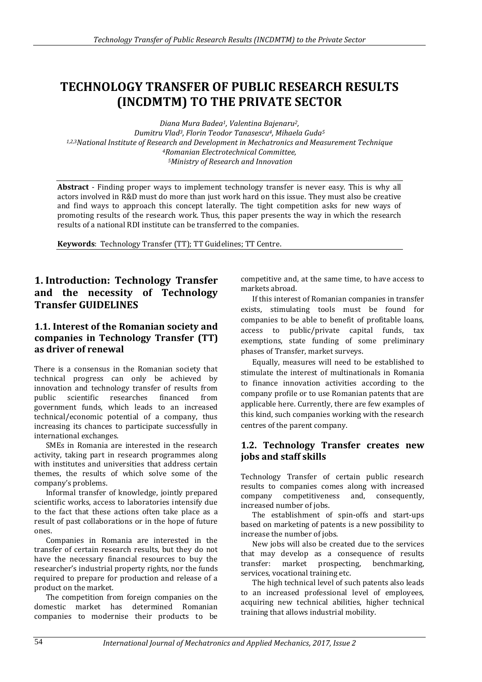# **TECHNOLOGY TRANSFER OF PUBLIC RESEARCH RESULTS (INCDMTM) TO THE PRIVATE SECTOR**

*Diana Mura Badea1, Valentina Bajenaru2, Dumitru Vlad3, Florin Teodor Tanasescu4, Mihaela Guda<sup>5</sup> 1,2,3National Institute of Research and Development in Mechatronics and Measurement Technique <sup>4</sup>Romanian Electrotechnical Committee, <sup>5</sup>Ministry of Research and Innovation*

**Abstract** - Finding proper ways to implement technology transfer is never easy. This is why all actors involved in R&D must do more than just work hard on this issue. They must also be creative and find ways to approach this concept laterally. The tight competition asks for new ways of promoting results of the research work. Thus, this paper presents the way in which the research results of a national RDI institute can be transferred to the companies.

**Keywords**: Technology Transfer (TT); TT Guidelines; TT Centre.

## **1. Introduction: Technology Transfer and the necessity of Technology Transfer GUIDELINES**

### **1.1. Interest of the Romanian society and companies in Technology Transfer (TT) as driver of renewal**

There is a consensus in the Romanian society that technical progress can only be achieved by innovation and technology transfer of results from public scientific researches financed from government funds, which leads to an increased technical/economic potential of a company, thus increasing its chances to participate successfully in international exchanges.

SMEs in Romania are interested in the research activity, taking part in research programmes along with institutes and universities that address certain themes, the results of which solve some of the company's problems.

Informal transfer of knowledge, jointly prepared scientific works, access to laboratories intensify due to the fact that these actions often take place as a result of past collaborations or in the hope of future ones.

Companies in Romania are interested in the transfer of certain research results, but they do not have the necessary financial resources to buy the researcher's industrial property rights, nor the funds required to prepare for production and release of a product on the market.

The competition from foreign companies on the domestic market has determined Romanian companies to modernise their products to be competitive and, at the same time, to have access to markets abroad.

If this interest of Romanian companies in transfer exists, stimulating tools must be found for companies to be able to benefit of profitable loans, access to public/private capital funds, tax exemptions, state funding of some preliminary phases of Transfer, market surveys.

Equally, measures will need to be established to stimulate the interest of multinationals in Romania to finance innovation activities according to the company profile or to use Romanian patents that are applicable here. Currently, there are few examples of this kind, such companies working with the research centres of the parent company.

### **1.2. Technology Transfer creates new jobs and staff skills**

Technology Transfer of certain public research results to companies comes along with increased company competitiveness and, consequently, increased number of jobs.

The establishment of spin-offs and start-ups based on marketing of patents is a new possibility to increase the number of jobs.

New jobs will also be created due to the services that may develop as a consequence of results transfer: market prospecting, benchmarking, services, vocational training etc.

The high technical level of such patents also leads to an increased professional level of employees, acquiring new technical abilities, higher technical training that allows industrial mobility.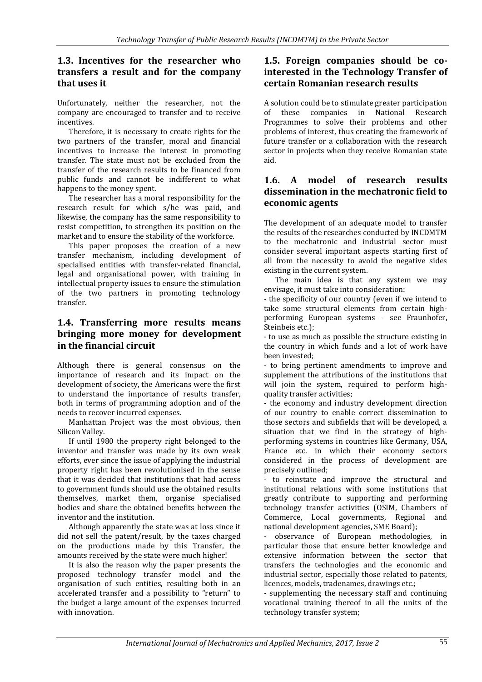### **1.3. Incentives for the researcher who transfers a result and for the company that uses it**

Unfortunately, neither the researcher, not the company are encouraged to transfer and to receive incentives.

Therefore, it is necessary to create rights for the two partners of the transfer, moral and financial incentives to increase the interest in promoting transfer. The state must not be excluded from the transfer of the research results to be financed from public funds and cannot be indifferent to what happens to the money spent.

The researcher has a moral responsibility for the research result for which s/he was paid, and likewise, the company has the same responsibility to resist competition, to strengthen its position on the market and to ensure the stability of the workforce.

This paper proposes the creation of a new transfer mechanism, including development of specialised entities with transfer-related financial, legal and organisational power, with training in intellectual property issues to ensure the stimulation of the two partners in promoting technology transfer.

### **1.4. Transferring more results means bringing more money for development in the financial circuit**

Although there is general consensus on the importance of research and its impact on the development of society, the Americans were the first to understand the importance of results transfer, both in terms of programming adoption and of the needs to recover incurred expenses.

Manhattan Project was the most obvious, then Silicon Valley.

If until 1980 the property right belonged to the inventor and transfer was made by its own weak efforts, ever since the issue of applying the industrial property right has been revolutionised in the sense that it was decided that institutions that had access to government funds should use the obtained results themselves, market them, organise specialised bodies and share the obtained benefits between the inventor and the institution.

Although apparently the state was at loss since it did not sell the patent/result, by the taxes charged on the productions made by this Transfer, the amounts received by the state were much higher!

It is also the reason why the paper presents the proposed technology transfer model and the organisation of such entities, resulting both in an accelerated transfer and a possibility to "return" to the budget a large amount of the expenses incurred with innovation.

#### **1.5. Foreign companies should be cointerested in the Technology Transfer of certain Romanian research results**

A solution could be to stimulate greater participation of these companies in National Research Programmes to solve their problems and other problems of interest, thus creating the framework of future transfer or a collaboration with the research sector in projects when they receive Romanian state aid.

### **1.6. A model of research results dissemination in the mechatronic field to economic agents**

The development of an adequate model to transfer the results of the researches conducted by INCDMTM to the mechatronic and industrial sector must consider several important aspects starting first of all from the necessity to avoid the negative sides existing in the current system.

The main idea is that any system we may envisage, it must take into consideration:

- the specificity of our country (even if we intend to take some structural elements from certain highperforming European systems – see Fraunhofer, Steinbeis etc.);

- to use as much as possible the structure existing in the country in which funds and a lot of work have been invested;

- to bring pertinent amendments to improve and supplement the attributions of the institutions that will join the system, required to perform highquality transfer activities;

- the economy and industry development direction of our country to enable correct dissemination to those sectors and subfields that will be developed, a situation that we find in the strategy of highperforming systems in countries like Germany, USA, France etc. in which their economy sectors considered in the process of development are precisely outlined;

- to reinstate and improve the structural and institutional relations with some institutions that greatly contribute to supporting and performing technology transfer activities (OSIM, Chambers of Commerce, Local governments, Regional and national development agencies, SME Board);

- observance of European methodologies, in particular those that ensure better knowledge and extensive information between the sector that transfers the technologies and the economic and industrial sector, especially those related to patents, licences, models, tradenames, drawings etc.;

- supplementing the necessary staff and continuing vocational training thereof in all the units of the technology transfer system;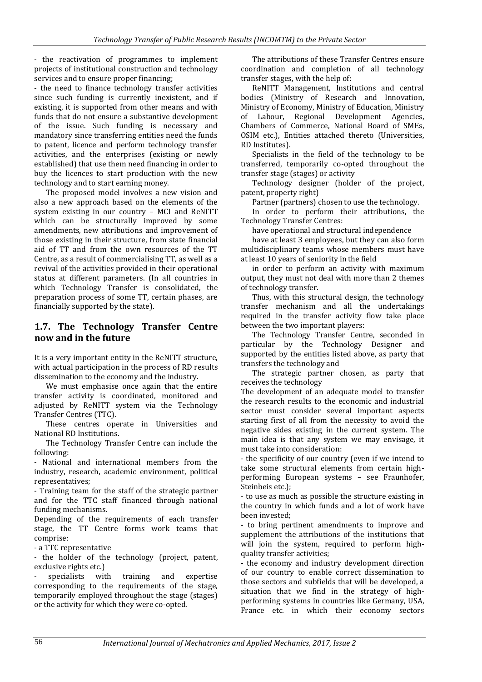- the reactivation of programmes to implement projects of institutional construction and technology services and to ensure proper financing;

- the need to finance technology transfer activities since such funding is currently inexistent, and if existing, it is supported from other means and with funds that do not ensure a substantive development of the issue. Such funding is necessary and mandatory since transferring entities need the funds to patent, licence and perform technology transfer activities, and the enterprises (existing or newly established) that use them need financing in order to buy the licences to start production with the new technology and to start earning money.

The proposed model involves a new vision and also a new approach based on the elements of the system existing in our country – MCI and ReNITT which can be structurally improved by some amendments, new attributions and improvement of those existing in their structure, from state financial aid of TT and from the own resources of the TT Centre, as a result of commercialising TT, as well as a revival of the activities provided in their operational status at different parameters. (In all countries in which Technology Transfer is consolidated, the preparation process of some TT, certain phases, are financially supported by the state).

#### **1.7. The Technology Transfer Centre now and in the future**

It is a very important entity in the ReNITT structure, with actual participation in the process of RD results dissemination to the economy and the industry.

We must emphasise once again that the entire transfer activity is coordinated, monitored and adjusted by ReNITT system via the Technology Transfer Centres (TTC).

These centres operate in Universities and National RD Institutions.

The Technology Transfer Centre can include the following:

- National and international members from the industry, research, academic environment, political representatives;

- Training team for the staff of the strategic partner and for the TTC staff financed through national funding mechanisms.

Depending of the requirements of each transfer stage, the TT Centre forms work teams that comprise:

- a TTC representative

- the holder of the technology (project, patent, exclusive rights etc.)

specialists with training and expertise corresponding to the requirements of the stage, temporarily employed throughout the stage (stages) or the activity for which they were co-opted.

The attributions of these Transfer Centres ensure coordination and completion of all technology transfer stages, with the help of:

ReNITT Management, Institutions and central bodies (Ministry of Research and Innovation, Ministry of Economy, Ministry of Education, Ministry of Labour, Regional Development Agencies, Chambers of Commerce, National Board of SMEs, OSIM etc.), Entities attached thereto (Universities, RD Institutes).

Specialists in the field of the technology to be transferred, temporarily co-opted throughout the transfer stage (stages) or activity

Technology designer (holder of the project, patent, property right)

Partner (partners) chosen to use the technology.

In order to perform their attributions, the Technology Transfer Centres:

have operational and structural independence

have at least 3 employees, but they can also form multidisciplinary teams whose members must have at least 10 years of seniority in the field

in order to perform an activity with maximum output, they must not deal with more than 2 themes of technology transfer.

Thus, with this structural design, the technology transfer mechanism and all the undertakings required in the transfer activity flow take place between the two important players:

The Technology Transfer Centre, seconded in particular by the Technology Designer and supported by the entities listed above, as party that transfers the technology and

The strategic partner chosen, as party that receives the technology

The development of an adequate model to transfer the research results to the economic and industrial sector must consider several important aspects starting first of all from the necessity to avoid the negative sides existing in the current system. The main idea is that any system we may envisage, it must take into consideration:

- the specificity of our country (even if we intend to take some structural elements from certain highperforming European systems – see Fraunhofer, Steinbeis etc.):

- to use as much as possible the structure existing in the country in which funds and a lot of work have been invested;

- to bring pertinent amendments to improve and supplement the attributions of the institutions that will join the system, required to perform highquality transfer activities;

- the economy and industry development direction of our country to enable correct dissemination to those sectors and subfields that will be developed, a situation that we find in the strategy of highperforming systems in countries like Germany, USA, France etc. in which their economy sectors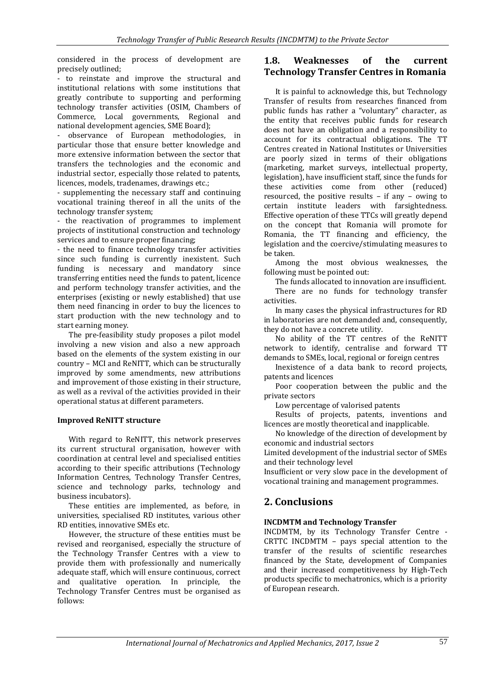considered in the process of development are precisely outlined;

- to reinstate and improve the structural and institutional relations with some institutions that greatly contribute to supporting and performing technology transfer activities (OSIM, Chambers of Commerce, Local governments, Regional and national development agencies, SME Board);

- observance of European methodologies, in particular those that ensure better knowledge and more extensive information between the sector that transfers the technologies and the economic and industrial sector, especially those related to patents, licences, models, tradenames, drawings etc.;

- supplementing the necessary staff and continuing vocational training thereof in all the units of the technology transfer system;

- the reactivation of programmes to implement projects of institutional construction and technology services and to ensure proper financing;

- the need to finance technology transfer activities since such funding is currently inexistent. Such funding is necessary and mandatory since transferring entities need the funds to patent, licence and perform technology transfer activities, and the enterprises (existing or newly established) that use them need financing in order to buy the licences to start production with the new technology and to start earning money.

The pre-feasibility study proposes a pilot model involving a new vision and also a new approach based on the elements of the system existing in our country – MCI and ReNITT, which can be structurally improved by some amendments, new attributions and improvement of those existing in their structure, as well as a revival of the activities provided in their operational status at different parameters.

#### **Improved ReNITT structure**

With regard to ReNITT, this network preserves its current structural organisation, however with coordination at central level and specialised entities according to their specific attributions (Technology Information Centres, Technology Transfer Centres, science and technology parks, technology and business incubators).

These entities are implemented, as before, in universities, specialised RD institutes, various other RD entities, innovative SMEs etc.

However, the structure of these entities must be revised and reorganised, especially the structure of the Technology Transfer Centres with a view to provide them with professionally and numerically adequate staff, which will ensure continuous, correct and qualitative operation. In principle, the Technology Transfer Centres must be organised as follows:

### **1.8. Weaknesses of the current Technology Transfer Centres in Romania**

It is painful to acknowledge this, but Technology Transfer of results from researches financed from public funds has rather a "voluntary" character, as the entity that receives public funds for research does not have an obligation and a responsibility to account for its contractual obligations. The TT Centres created in National Institutes or Universities are poorly sized in terms of their obligations (marketing, market surveys, intellectual property, legislation), have insufficient staff, since the funds for these activities come from other (reduced) resourced, the positive results – if any – owing to certain institute leaders with farsightedness. Effective operation of these TTCs will greatly depend on the concept that Romania will promote for Romania, the TT financing and efficiency, the legislation and the coercive/stimulating measures to be taken.

Among the most obvious weaknesses, the following must be pointed out:

The funds allocated to innovation are insufficient. There are no funds for technology transfer activities.

In many cases the physical infrastructures for RD in laboratories are not demanded and, consequently, they do not have a concrete utility.

No ability of the TT centres of the ReNITT network to identify, centralise and forward TT demands to SMEs, local, regional or foreign centres

Inexistence of a data bank to record projects, patents and licences

Poor cooperation between the public and the private sectors

Low percentage of valorised patents

Results of projects, patents, inventions and licences are mostly theoretical and inapplicable.

No knowledge of the direction of development by economic and industrial sectors

Limited development of the industrial sector of SMEs and their technology level

Insufficient or very slow pace in the development of vocational training and management programmes.

# **2. Conclusions**

#### **INCDMTM and Technology Transfer**

INCDMTM, by its Technology Transfer Centre - CRTTC INCDMTM – pays special attention to the transfer of the results of scientific researches financed by the State, development of Companies and their increased competitiveness by High-Tech products specific to mechatronics, which is a priority of European research.